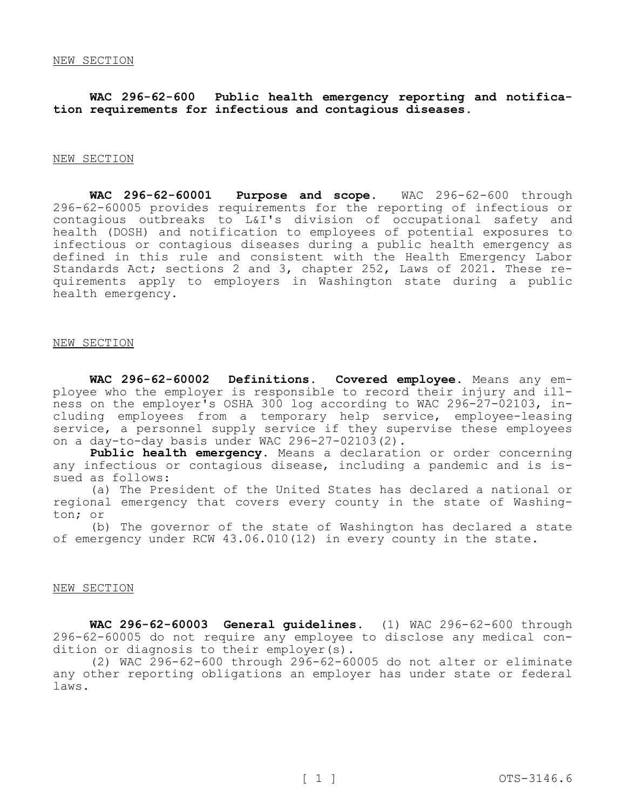**WAC 296-62-600 Public health emergency reporting and notification requirements for infectious and contagious diseases.** 

## NEW SECTION

**WAC 296-62-60001 Purpose and scope.** WAC 296-62-600 through 296-62-60005 provides requirements for the reporting of infectious or contagious outbreaks to L&I's division of occupational safety and health (DOSH) and notification to employees of potential exposures to infectious or contagious diseases during a public health emergency as defined in this rule and consistent with the Health Emergency Labor Standards Act; sections 2 and 3, chapter 252, Laws of 2021. These requirements apply to employers in Washington state during a public health emergency.

#### NEW SECTION

**WAC 296-62-60002 Definitions. Covered employee.** Means any employee who the employer is responsible to record their injury and illness on the employer's OSHA 300 log according to WAC 296-27-02103, including employees from a temporary help service, employee-leasing service, a personnel supply service if they supervise these employees on a day-to-day basis under WAC 296-27-02103(2).

**Public health emergency.** Means a declaration or order concerning any infectious or contagious disease, including a pandemic and is issued as follows:

(a) The President of the United States has declared a national or regional emergency that covers every county in the state of Washington; or

(b) The governor of the state of Washington has declared a state of emergency under RCW 43.06.010(12) in every county in the state.

### NEW SECTION

**WAC 296-62-60003 General guidelines.** (1) WAC 296-62-600 through 296-62-60005 do not require any employee to disclose any medical condition or diagnosis to their employer(s).

(2) WAC 296-62-600 through 296-62-60005 do not alter or eliminate any other reporting obligations an employer has under state or federal laws.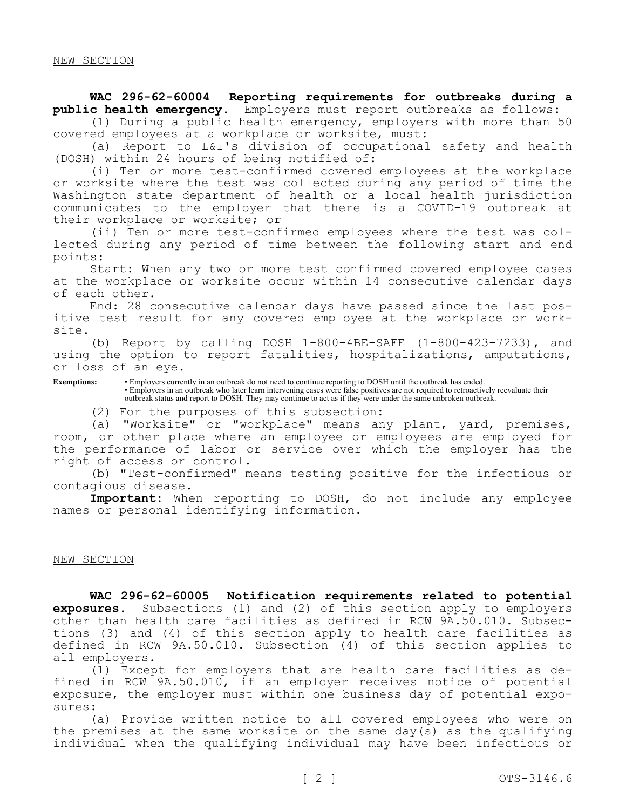## NEW SECTION

WAC 296-62-60004 Reporting requirements for outbreaks during a public health emergency. Employers must report outbreaks as follows: Employers must report outbreaks as follows:

(1) During a public health emergency, employers with more than 50 covered employees at a workplace or worksite, must:

(a) Report to L&I's division of occupational safety and health (DOSH) within 24 hours of being notified of:

(i) Ten or more test-confirmed covered employees at the workplace or worksite where the test was collected during any period of time the Washington state department of health or a local health jurisdiction communicates to the employer that there is a COVID-19 outbreak at their workplace or worksite; or

(ii) Ten or more test-confirmed employees where the test was collected during any period of time between the following start and end points:

Start: When any two or more test confirmed covered employee cases at the workplace or worksite occur within 14 consecutive calendar days of each other.

End: 28 consecutive calendar days have passed since the last positive test result for any covered employee at the workplace or worksite.

(b) Report by calling DOSH 1-800-4BE-SAFE (1-800-423-7233), and using the option to report fatalities, hospitalizations, amputations, or loss of an eye.

**Exemptions:** • Employers currently in an outbreak do not need to continue reporting to DOSH until the outbreak has ended. • Employers in an outbreak who later learn intervening cases were false positives are not required to retroactively reevaluate their outbreak status and report to DOSH. They may continue to act as if they were under the same unbroken outbreak.

(2) For the purposes of this subsection:

(a) "Worksite" or "workplace" means any plant, yard, premises, room, or other place where an employee or employees are employed for the performance of labor or service over which the employer has the right of access or control.

(b) "Test-confirmed" means testing positive for the infectious or contagious disease.

**Important:** When reporting to DOSH, do not include any employee names or personal identifying information.

# NEW SECTION

**WAC 296-62-60005 Notification requirements related to potential exposures.** Subsections (1) and (2) of this section apply to employers other than health care facilities as defined in RCW 9A.50.010. Subsections (3) and (4) of this section apply to health care facilities as defined in RCW 9A.50.010. Subsection (4) of this section applies to all employers.

(1) Except for employers that are health care facilities as defined in RCW 9A.50.010, if an employer receives notice of potential exposure, the employer must within one business day of potential exposures:

(a) Provide written notice to all covered employees who were on the premises at the same worksite on the same day(s) as the qualifying individual when the qualifying individual may have been infectious or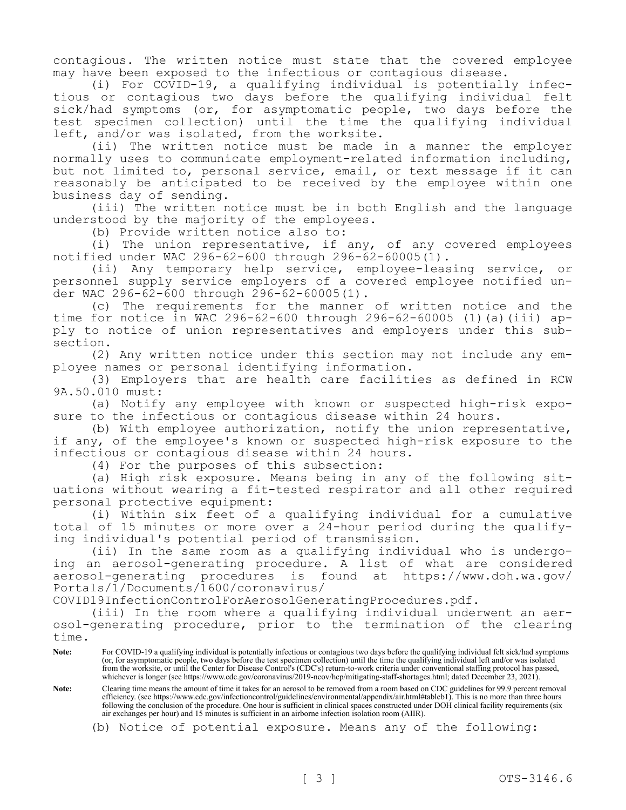contagious. The written notice must state that the covered employee may have been exposed to the infectious or contagious disease.

(i) For COVID-19, a qualifying individual is potentially infectious or contagious two days before the qualifying individual felt sick/had symptoms (or, for asymptomatic people, two days before the test specimen collection) until the time the qualifying individual left, and/or was isolated, from the worksite.

(ii) The written notice must be made in a manner the employer normally uses to communicate employment-related information including, but not limited to, personal service, email, or text message if it can reasonably be anticipated to be received by the employee within one business day of sending.

(iii) The written notice must be in both English and the language understood by the majority of the employees.

(b) Provide written notice also to:

(i) The union representative, if any, of any covered employees notified under WAC 296-62-600 through 296-62-60005(1).

(ii) Any temporary help service, employee-leasing service, or personnel supply service employers of a covered employee notified un $der$  WAC 296-62-600 through 296-62-60005(1).

(c) The requirements for the manner of written notice and the time for notice in WAC 296-62-600 through 296-62-60005 (1)(a)(iii) apply to notice of union representatives and employers under this subsection.

(2) Any written notice under this section may not include any employee names or personal identifying information.

(3) Employers that are health care facilities as defined in RCW 9A.50.010 must:

(a) Notify any employee with known or suspected high-risk exposure to the infectious or contagious disease within 24 hours.

(b) With employee authorization, notify the union representative, if any, of the employee's known or suspected high-risk exposure to the infectious or contagious disease within 24 hours.

(4) For the purposes of this subsection:

(a) High risk exposure. Means being in any of the following situations without wearing a fit-tested respirator and all other required personal protective equipment:

(i) Within six feet of a qualifying individual for a cumulative total of 15 minutes or more over a 24-hour period during the qualifying individual's potential period of transmission.

(ii) In the same room as a qualifying individual who is undergoing an aerosol-generating procedure. A list of what are considered aerosol-generating procedures is found at https://www.doh.wa.gov/ Portals/1/Documents/1600/coronavirus/

COVID19InfectionControlForAerosolGeneratingProcedures.pdf.

(iii) In the room where a qualifying individual underwent an aerosol-generating procedure, prior to the termination of the clearing time.

- **Note:** For COVID-19 a qualifying individual is potentially infectious or contagious two days before the qualifying individual felt sick/had symptoms (or, for asymptomatic people, two days before the test specimen collection) until the time the qualifying individual left and/or was isolated from the worksite, or until the Center for Disease Control's (CDC's) return-to-work criteria under conventional staffing protocol has passed, whichever is longer (see https://www.cdc.gov/coronavirus/2019-ncov/hcp/mitigating-staff-shortages.html; dated December 23, 2021).
- **Note:** Clearing time means the amount of time it takes for an aerosol to be removed from a room based on CDC guidelines for 99.9 percent removal efficiency. (see https://www.cdc.gov/infectioncontrol/guidelines/environmental/appendix/air.html#tableb1). This is no more than three hours following the conclusion of the procedure. One hour is sufficient in clinical spaces constructed under DOH clinical facility requirements (six air exchanges per hour) and 15 minutes is sufficient in an airborne infection isolation room (AIIR).
	- (b) Notice of potential exposure. Means any of the following: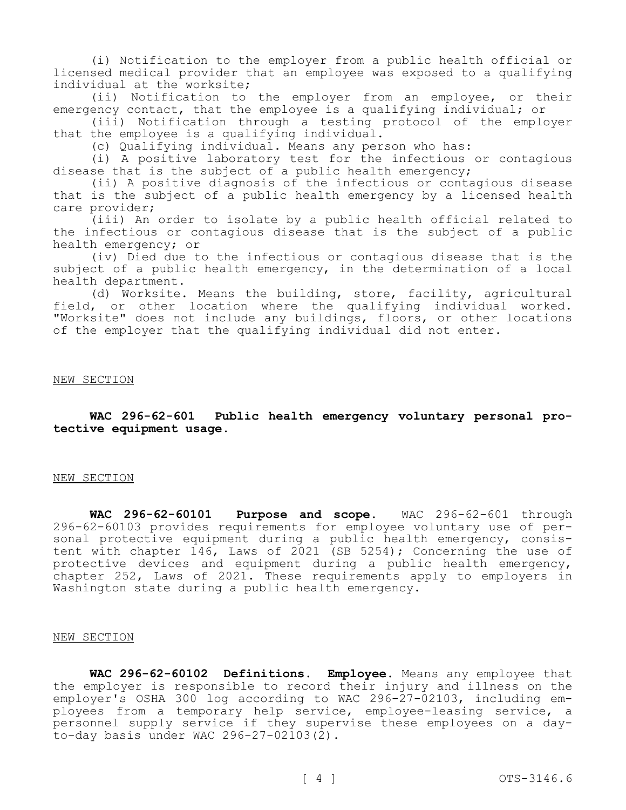(i) Notification to the employer from a public health official or licensed medical provider that an employee was exposed to a qualifying individual at the worksite;

(ii) Notification to the employer from an employee, or their emergency contact, that the employee is a qualifying individual; or

(iii) Notification through a testing protocol of the employer that the employee is a qualifying individual.

(c) Qualifying individual. Means any person who has:

(i) A positive laboratory test for the infectious or contagious disease that is the subject of a public health emergency;

(ii) A positive diagnosis of the infectious or contagious disease that is the subject of a public health emergency by a licensed health care provider;

(iii) An order to isolate by a public health official related to the infectious or contagious disease that is the subject of a public health emergency; or

(iv) Died due to the infectious or contagious disease that is the subject of a public health emergency, in the determination of a local health department.

(d) Worksite. Means the building, store, facility, agricultural field, or other location where the qualifying individual worked. "Worksite" does not include any buildings, floors, or other locations of the employer that the qualifying individual did not enter.

### NEW SECTION

**WAC 296-62-601 Public health emergency voluntary personal protective equipment usage.** 

## NEW SECTION

**WAC 296-62-60101 Purpose and scope.** WAC 296-62-601 through 296-62-60103 provides requirements for employee voluntary use of personal protective equipment during a public health emergency, consistent with chapter 146, Laws of 2021 (SB 5254); Concerning the use of protective devices and equipment during a public health emergency, chapter 252, Laws of 2021. These requirements apply to employers in Washington state during a public health emergency.

#### NEW SECTION

**WAC 296-62-60102 Definitions. Employee.** Means any employee that the employer is responsible to record their injury and illness on the employer's OSHA 300 log according to WAC 296-27-02103, including employees from a temporary help service, employee-leasing service, a personnel supply service if they supervise these employees on a dayto-day basis under WAC 296-27-02103(2).